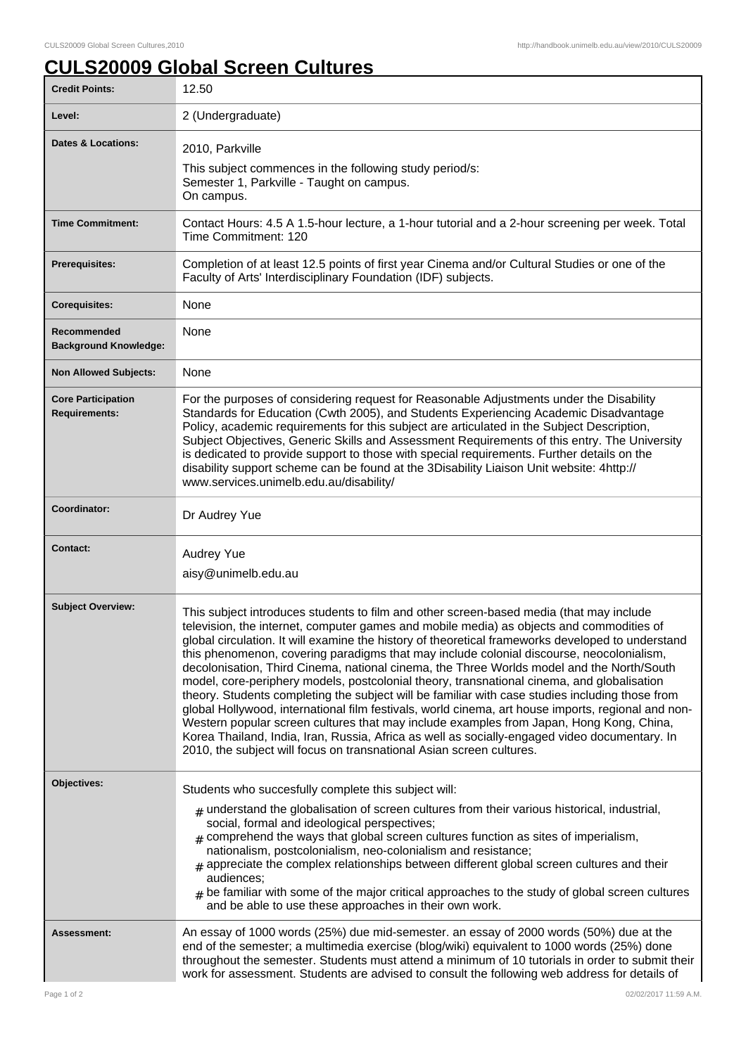## **CULS20009 Global Screen Cultures**

| <b>Credit Points:</b>                             | 12.50                                                                                                                                                                                                                                                                                                                                                                                                                                                                                                                                                                                                                                                                                                                                                                                                                                                                                                                                                                                                                                                        |
|---------------------------------------------------|--------------------------------------------------------------------------------------------------------------------------------------------------------------------------------------------------------------------------------------------------------------------------------------------------------------------------------------------------------------------------------------------------------------------------------------------------------------------------------------------------------------------------------------------------------------------------------------------------------------------------------------------------------------------------------------------------------------------------------------------------------------------------------------------------------------------------------------------------------------------------------------------------------------------------------------------------------------------------------------------------------------------------------------------------------------|
| Level:                                            | 2 (Undergraduate)                                                                                                                                                                                                                                                                                                                                                                                                                                                                                                                                                                                                                                                                                                                                                                                                                                                                                                                                                                                                                                            |
| <b>Dates &amp; Locations:</b>                     | 2010, Parkville<br>This subject commences in the following study period/s:<br>Semester 1, Parkville - Taught on campus.<br>On campus.                                                                                                                                                                                                                                                                                                                                                                                                                                                                                                                                                                                                                                                                                                                                                                                                                                                                                                                        |
| <b>Time Commitment:</b>                           | Contact Hours: 4.5 A 1.5-hour lecture, a 1-hour tutorial and a 2-hour screening per week. Total<br>Time Commitment: 120                                                                                                                                                                                                                                                                                                                                                                                                                                                                                                                                                                                                                                                                                                                                                                                                                                                                                                                                      |
| <b>Prerequisites:</b>                             | Completion of at least 12.5 points of first year Cinema and/or Cultural Studies or one of the<br>Faculty of Arts' Interdisciplinary Foundation (IDF) subjects.                                                                                                                                                                                                                                                                                                                                                                                                                                                                                                                                                                                                                                                                                                                                                                                                                                                                                               |
| <b>Corequisites:</b>                              | None                                                                                                                                                                                                                                                                                                                                                                                                                                                                                                                                                                                                                                                                                                                                                                                                                                                                                                                                                                                                                                                         |
| Recommended<br><b>Background Knowledge:</b>       | None                                                                                                                                                                                                                                                                                                                                                                                                                                                                                                                                                                                                                                                                                                                                                                                                                                                                                                                                                                                                                                                         |
| <b>Non Allowed Subjects:</b>                      | None                                                                                                                                                                                                                                                                                                                                                                                                                                                                                                                                                                                                                                                                                                                                                                                                                                                                                                                                                                                                                                                         |
| <b>Core Participation</b><br><b>Requirements:</b> | For the purposes of considering request for Reasonable Adjustments under the Disability<br>Standards for Education (Cwth 2005), and Students Experiencing Academic Disadvantage<br>Policy, academic requirements for this subject are articulated in the Subject Description,<br>Subject Objectives, Generic Skills and Assessment Requirements of this entry. The University<br>is dedicated to provide support to those with special requirements. Further details on the<br>disability support scheme can be found at the 3Disability Liaison Unit website: 4http://<br>www.services.unimelb.edu.au/disability/                                                                                                                                                                                                                                                                                                                                                                                                                                           |
| Coordinator:                                      | Dr Audrey Yue                                                                                                                                                                                                                                                                                                                                                                                                                                                                                                                                                                                                                                                                                                                                                                                                                                                                                                                                                                                                                                                |
| <b>Contact:</b>                                   | <b>Audrey Yue</b><br>aisy@unimelb.edu.au                                                                                                                                                                                                                                                                                                                                                                                                                                                                                                                                                                                                                                                                                                                                                                                                                                                                                                                                                                                                                     |
| <b>Subject Overview:</b>                          | This subject introduces students to film and other screen-based media (that may include<br>television, the internet, computer games and mobile media) as objects and commodities of<br>global circulation. It will examine the history of theoretical frameworks developed to understand<br>this phenomenon, covering paradigms that may include colonial discourse, neocolonialism,<br>decolonisation, Third Cinema, national cinema, the Three Worlds model and the North/South<br>model, core-periphery models, postcolonial theory, transnational cinema, and globalisation<br>theory. Students completing the subject will be familiar with case studies including those from<br>global Hollywood, international film festivals, world cinema, art house imports, regional and non-<br>Western popular screen cultures that may include examples from Japan, Hong Kong, China,<br>Korea Thailand, India, Iran, Russia, Africa as well as socially-engaged video documentary. In<br>2010, the subject will focus on transnational Asian screen cultures. |
| Objectives:                                       | Students who succesfully complete this subject will:<br>$_{\#}$ understand the globalisation of screen cultures from their various historical, industrial,<br>social, formal and ideological perspectives;<br>$_{\#}$ comprehend the ways that global screen cultures function as sites of imperialism,<br>nationalism, postcolonialism, neo-colonialism and resistance;<br>$_{\text{\#}}$ appreciate the complex relationships between different global screen cultures and their<br>audiences;<br>$#$ be familiar with some of the major critical approaches to the study of global screen cultures<br>and be able to use these approaches in their own work.                                                                                                                                                                                                                                                                                                                                                                                              |
| <b>Assessment:</b>                                | An essay of 1000 words (25%) due mid-semester. an essay of 2000 words (50%) due at the<br>end of the semester; a multimedia exercise (blog/wiki) equivalent to 1000 words (25%) done<br>throughout the semester. Students must attend a minimum of 10 tutorials in order to submit their<br>work for assessment. Students are advised to consult the following web address for details of                                                                                                                                                                                                                                                                                                                                                                                                                                                                                                                                                                                                                                                                    |